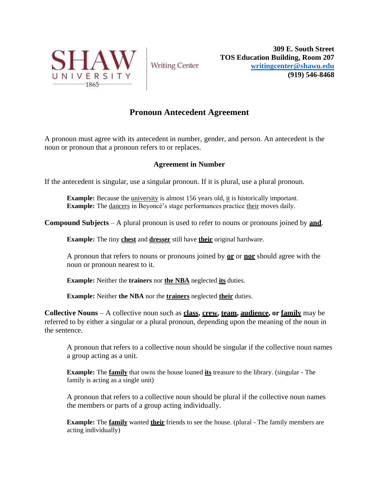

**Writing Center** 

**309 E. South Street TOS Education Building, Room 207 [writingcenter@shawu.edu](mailto:writingcenter@shawu.edu) (919) 546-8468**

## **Pronoun Antecedent Agreement**

A pronoun must agree with its antecedent in number, gender, and person. An antecedent is the noun or pronoun that a pronoun refers to or replaces.

## **Agreement in Number**

If the antecedent is singular, use a singular pronoun. If it is plural, use a plural pronoun.

**Example:** Because the university is almost 156 years old, it is historically important. **Example:** The dancers in Beyoncé's stage performances practice their moves daily.

**Compound Subjects** – A plural pronoun is used to refer to nouns or pronouns joined by **and**.

**Example:** The tiny **chest** and **dresser** still have **their** original hardware.

A pronoun that refers to nouns or pronouns joined by **or** or **nor** should agree with the noun or pronoun nearest to it.

**Example:** Neither the **trainers** nor **the NBA** neglected **its** duties.

**Example:** Neither **the NBA** nor the **trainers** neglected **their** duties.

**Collective Nouns** – A collective noun such as **class, crew, team, audience, or family** may be referred to by either a singular or a plural pronoun, depending upon the meaning of the noun in the sentence.

A pronoun that refers to a collective noun should be singular if the collective noun names a group acting as a unit.

**Example:** The **family** that owns the house loaned **its** treasure to the library. (singular - The family is acting as a single unit)

A pronoun that refers to a collective noun should be plural if the collective noun names the members or parts of a group acting individually.

**Example:** The **family** wanted **their** friends to see the house. (plural - The family members are acting individually)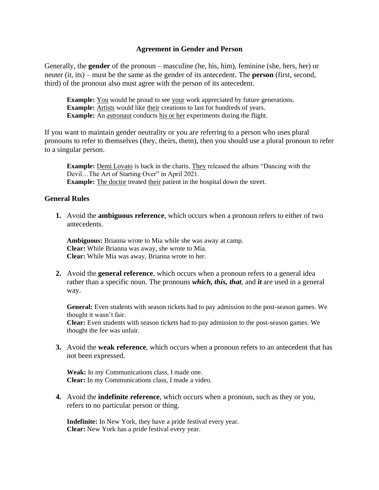## **Agreement in Gender and Person**

Generally, the **gender** of the pronoun – masculine (he, his, him), feminine (she, hers, her) or neuter (it, its) – must be the same as the gender of its antecedent. The **person** (first, second, third) of the pronoun also must agree with the person of its antecedent.

**Example:** You would be proud to see your work appreciated by future generations. **Example:** Artists would like their creations to last for hundreds of years. **Example:** An astronaut conducts his or her experiments during the flight.

If you want to maintain gender neutrality or you are referring to a person who uses plural pronouns to refer to themselves (they, theirs, them), then you should use a plural pronoun to refer to a singular person.

**Example:** Demi Lovato is back in the charts. They released the album "Dancing with the Devil...The Art of Starting Over" in April 2021. **Example:** The doctor treated their patient in the hospital down the street.

## **General Rules**

**1.** Avoid the **ambiguous reference**, which occurs when a pronoun refers to either of two antecedents.

**Ambiguous:** Brianna wrote to Mia while she was away at camp. **Clear:** While Brianna was away, she wrote to Mia. **Clear:** While Mia was away, Brianna wrote to her.

**2.** Avoid the **general reference**, which occurs when a pronoun refers to a general idea rather than a specific noun. The pronouns *which, this, that*, and *it* are used in a general way.

**General:** Even students with season tickets had to pay admission to the post-season games. We thought it wasn't fair.

**Clear:** Even students with season tickets had to pay admission to the post-season games. We thought the fee was unfair.

**3.** Avoid the **weak reference**, which occurs when a pronoun refers to an antecedent that has not been expressed.

**Weak:** In my Communications class, I made one. **Clear:** In my Communications class, I made a video.

**4.** Avoid the **indefinite reference**, which occurs when a pronoun, such as they or you, refers to no particular person or thing.

**Indefinite:** In New York, they have a pride festival every year. **Clear:** New York has a pride festival every year.